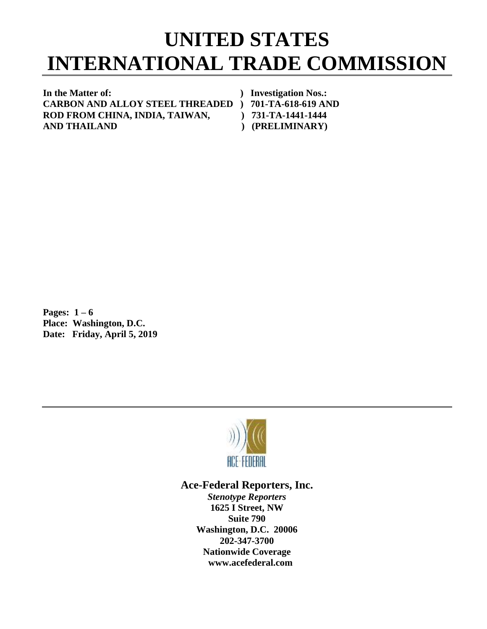## **UNITED STATES INTERNATIONAL TRADE COMMISSION**

**In the Matter of: ) Investigation Nos.: CARBON AND ALLOY STEEL THREADED ) 701-TA-618-619 AND** ROD FROM CHINA, INDIA, TAIWAN,  $\qquad$  ) 731-TA-1441-1444 **AND THAILAND ) (PRELIMINARY)**

**Pages: 1 – 6 Place: Washington, D.C. Date: Friday, April 5, 2019**



## **Ace-Federal Reporters, Inc.**

*Stenotype Reporters* **1625 I Street, NW Suite 790 Washington, D.C. 20006 202-347-3700 Nationwide Coverage www.acefederal.com**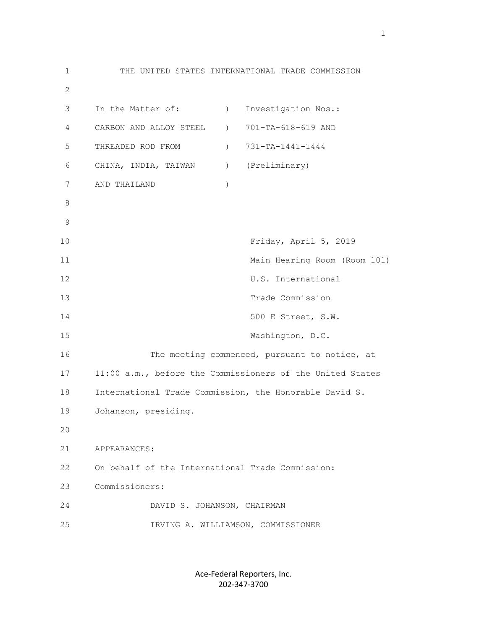1 THE UNITED STATES INTERNATIONAL TRADE COMMISSION 2 3 In the Matter of: ) Investigation Nos.: 4 CARBON AND ALLOY STEEL ) 701-TA-618-619 AND 5 THREADED ROD FROM ) 731-TA-1441-1444 6 CHINA, INDIA, TAIWAN ) (Preliminary) 7 AND THAILAND ) 8 9 10 Friday, April 5, 2019 11 Main Hearing Room (Room 101) 12 U.S. International 13 Trade Commission 14 500 E Street, S.W. 15 Washington, D.C. 16 The meeting commenced, pursuant to notice, at 17 11:00 a.m., before the Commissioners of the United States 18 International Trade Commission, the Honorable David S. 19 Johanson, presiding. 20 21 APPEARANCES: 22 On behalf of the International Trade Commission: 23 Commissioners: 24 DAVID S. JOHANSON, CHAIRMAN 25 IRVING A. WILLIAMSON, COMMISSIONER

> Ace-Federal Reporters, Inc. 202-347-3700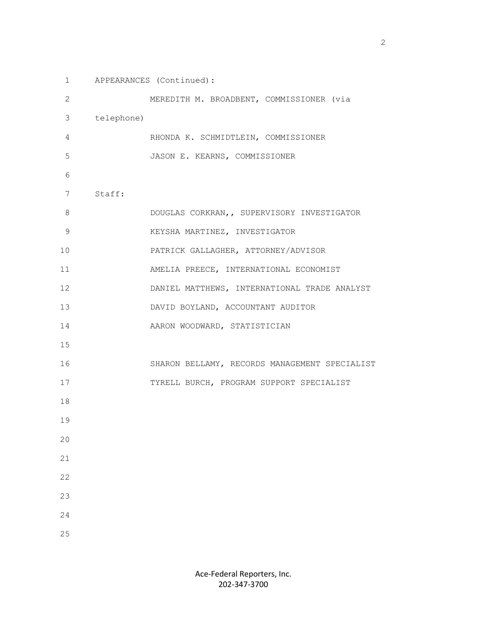1 APPEARANCES (Continued): 2 MEREDITH M. BROADBENT, COMMISSIONER (via 3 telephone) 4 RHONDA K. SCHMIDTLEIN, COMMISSIONER 5 JASON E. KEARNS, COMMISSIONER 6 7 Staff: 8 DOUGLAS CORKRAN,, SUPERVISORY INVESTIGATOR 9 KEYSHA MARTINEZ, INVESTIGATOR 10 PATRICK GALLAGHER, ATTORNEY/ADVISOR 11 AMELIA PREECE, INTERNATIONAL ECONOMIST 12 DANIEL MATTHEWS, INTERNATIONAL TRADE ANALYST 13 DAVID BOYLAND, ACCOUNTANT AUDITOR 14 AARON WOODWARD, STATISTICIAN 15 16 SHARON BELLAMY, RECORDS MANAGEMENT SPECIALIST 17 TYRELL BURCH, PROGRAM SUPPORT SPECIALIST 18 19 20 21 22 23 24 25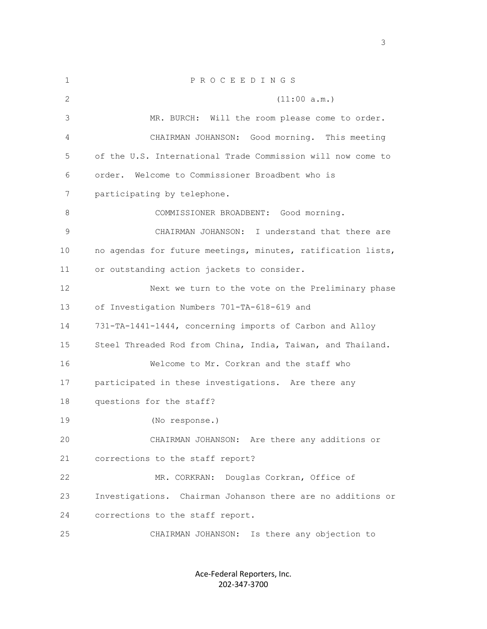1 P R O C E E D I N G S 2 (11:00 a.m.) 3 MR. BURCH: Will the room please come to order. 4 CHAIRMAN JOHANSON: Good morning. This meeting 5 of the U.S. International Trade Commission will now come to 6 order. Welcome to Commissioner Broadbent who is 7 participating by telephone. 8 COMMISSIONER BROADBENT: Good morning. 9 CHAIRMAN JOHANSON: I understand that there are 10 no agendas for future meetings, minutes, ratification lists, 11 or outstanding action jackets to consider. 12 Next we turn to the vote on the Preliminary phase 13 of Investigation Numbers 701-TA-618-619 and 14 731-TA-1441-1444, concerning imports of Carbon and Alloy 15 Steel Threaded Rod from China, India, Taiwan, and Thailand. 16 Welcome to Mr. Corkran and the staff who 17 participated in these investigations. Are there any 18 questions for the staff? 19 (No response.) 20 CHAIRMAN JOHANSON: Are there any additions or 21 corrections to the staff report? 22 MR. CORKRAN: Douglas Corkran, Office of 23 Investigations. Chairman Johanson there are no additions or 24 corrections to the staff report. 25 CHAIRMAN JOHANSON: Is there any objection to

> Ace-Federal Reporters, Inc. 202-347-3700

 $\sim$  3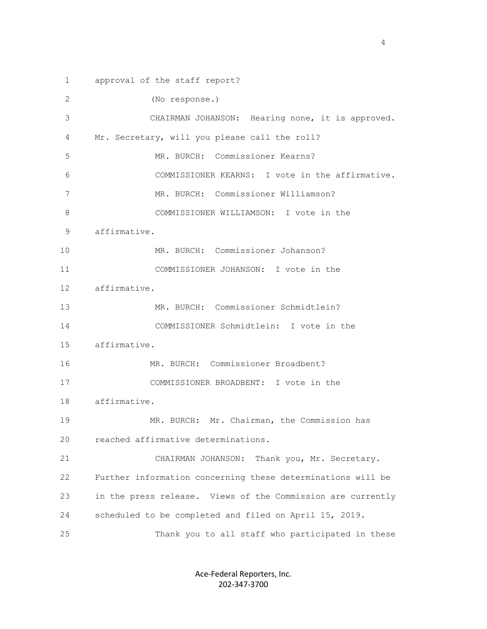1 approval of the staff report? 2 (No response.) 3 CHAIRMAN JOHANSON: Hearing none, it is approved. 4 Mr. Secretary, will you please call the roll? 5 MR. BURCH: Commissioner Kearns? 6 COMMISSIONER KEARNS: I vote in the affirmative. 7 MR. BURCH: Commissioner Williamson? 8 COMMISSIONER WILLIAMSON: I vote in the 9 affirmative. 10 MR. BURCH: Commissioner Johanson? 11 COMMISSIONER JOHANSON: I vote in the 12 affirmative. 13 MR. BURCH: Commissioner Schmidtlein? 14 COMMISSIONER Schmidtlein: I vote in the 15 affirmative. 16 MR. BURCH: Commissioner Broadbent? 17 COMMISSIONER BROADBENT: I vote in the 18 affirmative. 19 MR. BURCH: Mr. Chairman, the Commission has 20 reached affirmative determinations. 21 CHAIRMAN JOHANSON: Thank you, Mr. Secretary. 22 Further information concerning these determinations will be 23 in the press release. Views of the Commission are currently 24 scheduled to be completed and filed on April 15, 2019. 25 Thank you to all staff who participated in these

> Ace-Federal Reporters, Inc. 202-347-3700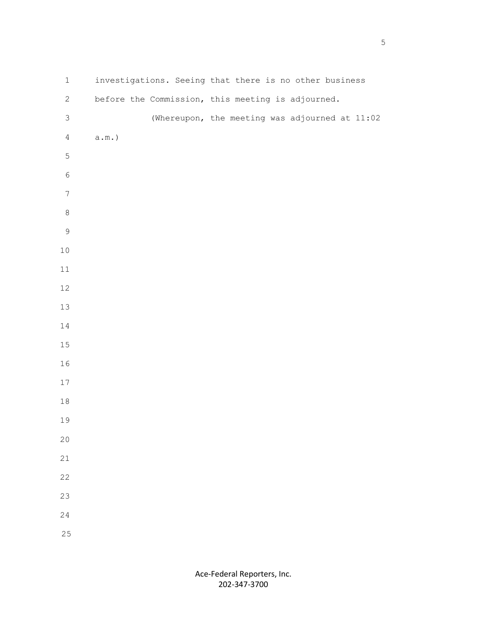| $\,1$            | investigations. Seeing that there is no other business |
|------------------|--------------------------------------------------------|
| $\mathbf{2}$     | before the Commission, this meeting is adjourned.      |
| $\mathfrak{Z}$   | (Whereupon, the meeting was adjourned at 11:02         |
| $\overline{4}$   | $\texttt{a.m.})$                                       |
| 5                |                                                        |
| $\epsilon$       |                                                        |
| $\boldsymbol{7}$ |                                                        |
| $\,8\,$          |                                                        |
| $\mathsf 9$      |                                                        |
| $10\,$           |                                                        |
| $11\,$           |                                                        |
| $12\,$           |                                                        |
| $13\,$           |                                                        |
| $14\,$           |                                                        |
| $15\,$           |                                                        |
| 16               |                                                        |
| $17$             |                                                        |
| $18\,$           |                                                        |
| 19               |                                                        |
| $20\,$           |                                                        |
| 21               |                                                        |
| 22               |                                                        |
| 23               |                                                        |
| 24               |                                                        |
| 25               |                                                        |